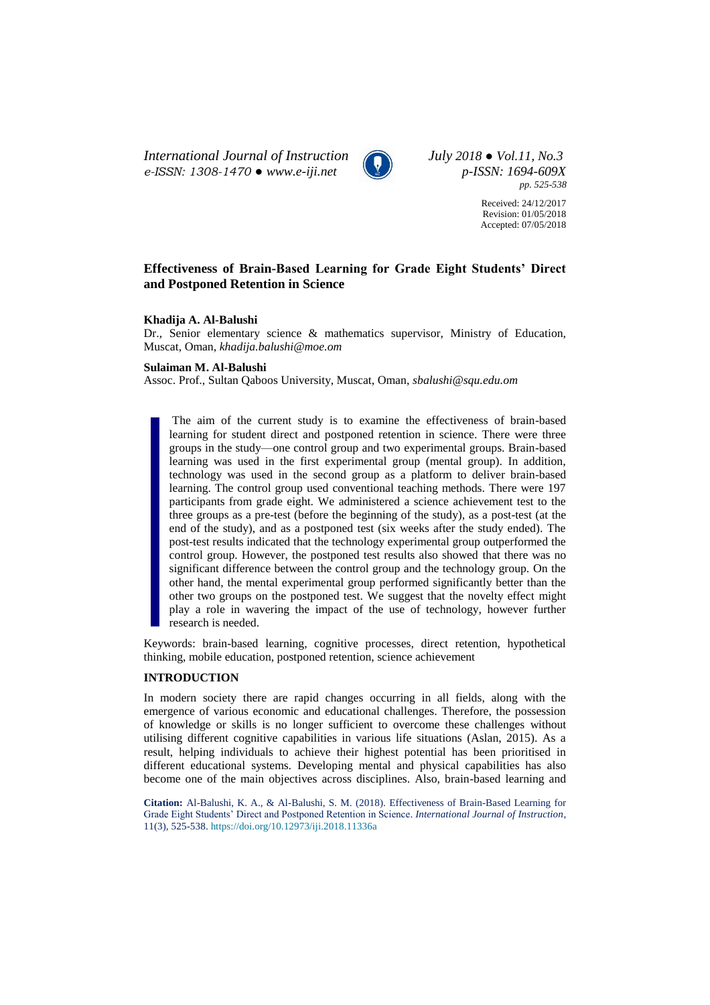*International Journal of Instruction July 2018 ● Vol.11, No.3 e-ISSN: 1308-1470 ● [www.e-iji.net](http://www.e-iji.net/) p-ISSN: 1694-609X*



*pp. 525-538*

Received: 24/12/2017 Revision: 01/05/2018 Accepted: 07/05/2018

# **Effectiveness of Brain-Based Learning for Grade Eight Students' Direct and Postponed Retention in Science**

## **Khadija A. Al-Balushi**

Dr., Senior elementary science & mathematics supervisor, Ministry of Education, Muscat, Oman, *khadija.balushi@moe.om*

## **Sulaiman M. Al-Balushi**

Assoc. Prof., Sultan Qaboos University, Muscat, Oman, *sbalushi@squ.edu.om*

The aim of the current study is to examine the effectiveness of brain-based learning for student direct and postponed retention in science. There were three groups in the study—one control group and two experimental groups. Brain-based learning was used in the first experimental group (mental group). In addition, technology was used in the second group as a platform to deliver brain-based learning. The control group used conventional teaching methods. There were 197 participants from grade eight. We administered a science achievement test to the three groups as a pre-test (before the beginning of the study), as a post-test (at the end of the study), and as a postponed test (six weeks after the study ended). The post-test results indicated that the technology experimental group outperformed the control group. However, the postponed test results also showed that there was no significant difference between the control group and the technology group. On the other hand, the mental experimental group performed significantly better than the other two groups on the postponed test. We suggest that the novelty effect might play a role in wavering the impact of the use of technology, however further research is needed.

Keywords: brain-based learning, cognitive processes, direct retention, hypothetical thinking, mobile education, postponed retention, science achievement

## **INTRODUCTION**

In modern society there are rapid changes occurring in all fields, along with the emergence of various economic and educational challenges. Therefore, the possession of knowledge or skills is no longer sufficient to overcome these challenges without utilising different cognitive capabilities in various life situations (Aslan, 2015). As a result, helping individuals to achieve their highest potential has been prioritised in different educational systems. Developing mental and physical capabilities has also become one of the main objectives across disciplines. Also, brain-based learning and

**Citation:** Al-Balushi, K. A., & Al-Balushi, S. M. (2018). Effectiveness of Brain-Based Learning for Grade Eight Students' Direct and Postponed Retention in Science. *International Journal of Instruction*, 11(3), 525-538. <https://doi.org/10.12973/iji.2018.11336a>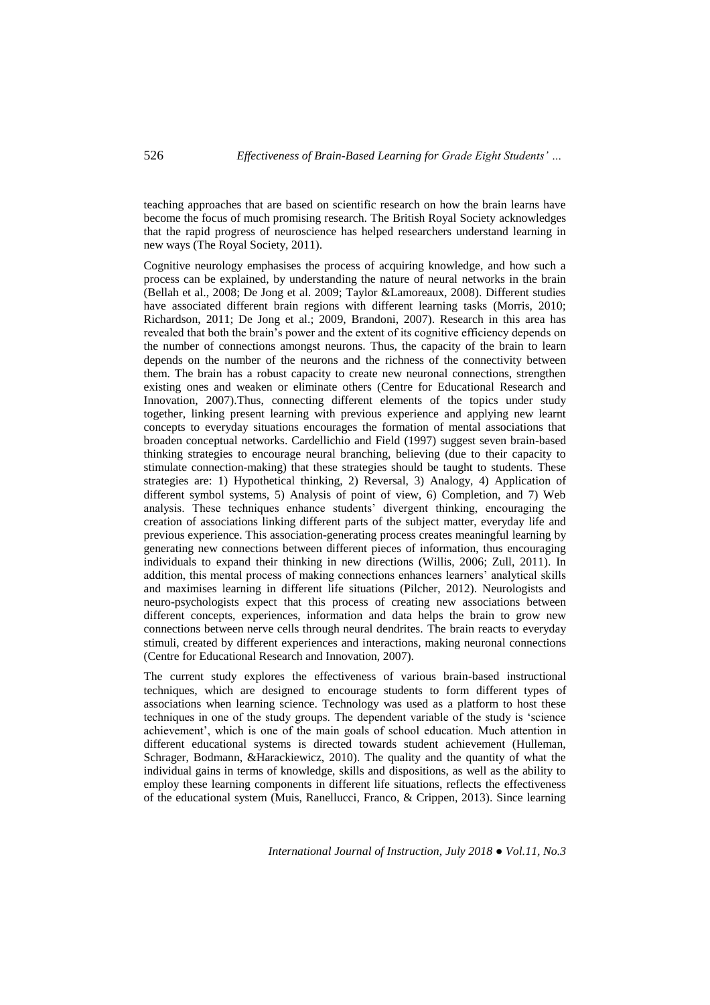teaching approaches that are based on scientific research on how the brain learns have become the focus of much promising research. The British Royal Society acknowledges that the rapid progress of neuroscience has helped researchers understand learning in new ways (The Royal Society, 2011).

Cognitive neurology emphasises the process of acquiring knowledge, and how such a process can be explained, by understanding the nature of neural networks in the brain (Bellah et al., 2008; De Jong et al. 2009; Taylor &Lamoreaux, 2008). Different studies have associated different brain regions with different learning tasks (Morris, 2010; Richardson, 2011; De Jong et al.; 2009, Brandoni, 2007). Research in this area has revealed that both the brain's power and the extent of its cognitive efficiency depends on the number of connections amongst neurons. Thus, the capacity of the brain to learn depends on the number of the neurons and the richness of the connectivity between them. The brain has a robust capacity to create new neuronal connections, strengthen existing ones and weaken or eliminate others (Centre for Educational Research and Innovation, 2007).Thus, connecting different elements of the topics under study together, linking present learning with previous experience and applying new learnt concepts to everyday situations encourages the formation of mental associations that broaden conceptual networks. Cardellichio and Field (1997) suggest seven brain-based thinking strategies to encourage neural branching, believing (due to their capacity to stimulate connection-making) that these strategies should be taught to students. These strategies are: 1) Hypothetical thinking, 2) Reversal, 3) Analogy, 4) Application of different symbol systems, 5) Analysis of point of view, 6) Completion, and 7) Web analysis. These techniques enhance students' divergent thinking, encouraging the creation of associations linking different parts of the subject matter, everyday life and previous experience. This association-generating process creates meaningful learning by generating new connections between different pieces of information, thus encouraging individuals to expand their thinking in new directions (Willis, 2006; Zull, 2011). In addition, this mental process of making connections enhances learners' analytical skills and maximises learning in different life situations (Pilcher, 2012). Neurologists and neuro-psychologists expect that this process of creating new associations between different concepts, experiences, information and data helps the brain to grow new connections between nerve cells through neural dendrites. The brain reacts to everyday stimuli, created by different experiences and interactions, making neuronal connections (Centre for Educational Research and Innovation, 2007).

The current study explores the effectiveness of various brain-based instructional techniques, which are designed to encourage students to form different types of associations when learning science. Technology was used as a platform to host these techniques in one of the study groups. The dependent variable of the study is 'science achievement', which is one of the main goals of school education. Much attention in different educational systems is directed towards student achievement (Hulleman, Schrager, Bodmann, &Harackiewicz, 2010). The quality and the quantity of what the individual gains in terms of knowledge, skills and dispositions, as well as the ability to employ these learning components in different life situations, reflects the effectiveness of the educational system (Muis, Ranellucci, Franco, & Crippen, 2013). Since learning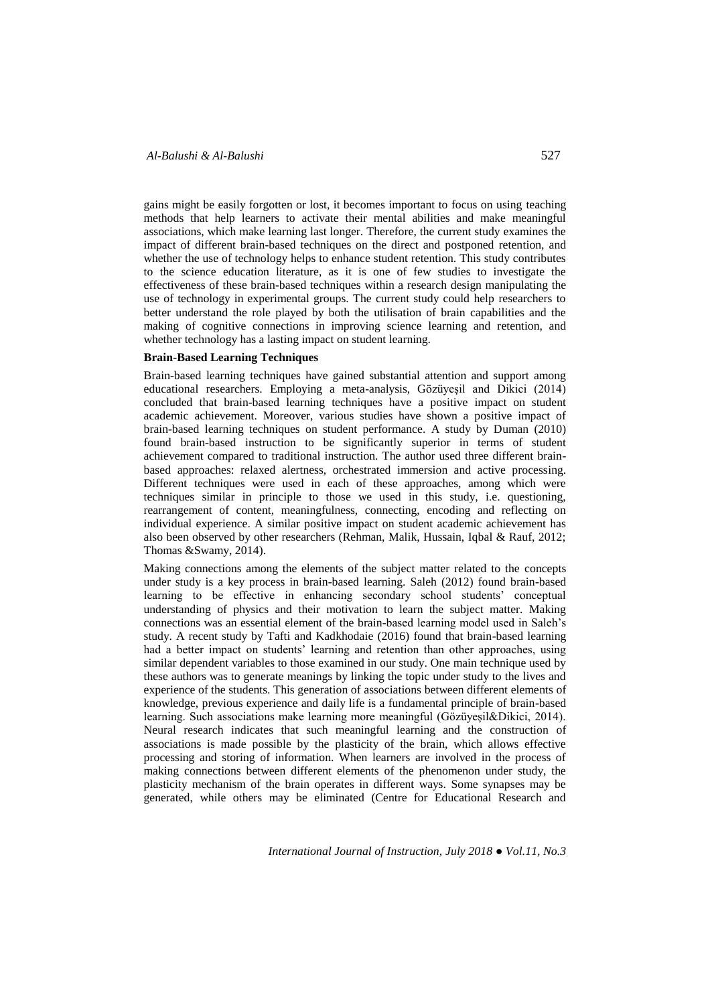gains might be easily forgotten or lost, it becomes important to focus on using teaching methods that help learners to activate their mental abilities and make meaningful associations, which make learning last longer. Therefore, the current study examines the impact of different brain-based techniques on the direct and postponed retention, and whether the use of technology helps to enhance student retention. This study contributes to the science education literature, as it is one of few studies to investigate the effectiveness of these brain-based techniques within a research design manipulating the use of technology in experimental groups. The current study could help researchers to better understand the role played by both the utilisation of brain capabilities and the making of cognitive connections in improving science learning and retention, and whether technology has a lasting impact on student learning.

# **Brain-Based Learning Techniques**

Brain-based learning techniques have gained substantial attention and support among educational researchers. Employing a meta-analysis, Gözüyeşil and Dikici (2014) concluded that brain-based learning techniques have a positive impact on student academic achievement. Moreover, various studies have shown a positive impact of brain-based learning techniques on student performance. A study by Duman (2010) found brain-based instruction to be significantly superior in terms of student achievement compared to traditional instruction. The author used three different brainbased approaches: relaxed alertness, orchestrated immersion and active processing. Different techniques were used in each of these approaches, among which were techniques similar in principle to those we used in this study, i.e. questioning, rearrangement of content, meaningfulness, connecting, encoding and reflecting on individual experience. A similar positive impact on student academic achievement has also been observed by other researchers (Rehman, Malik, Hussain, Iqbal & Rauf, 2012; Thomas &Swamy, 2014).

Making connections among the elements of the subject matter related to the concepts under study is a key process in brain-based learning. Saleh (2012) found brain-based learning to be effective in enhancing secondary school students' conceptual understanding of physics and their motivation to learn the subject matter. Making connections was an essential element of the brain-based learning model used in Saleh's study. A recent study by Tafti and Kadkhodaie (2016) found that brain-based learning had a better impact on students' learning and retention than other approaches, using similar dependent variables to those examined in our study. One main technique used by these authors was to generate meanings by linking the topic under study to the lives and experience of the students. This generation of associations between different elements of knowledge, previous experience and daily life is a fundamental principle of brain-based learning. Such associations make learning more meaningful (Gözüyeşil&Dikici, 2014). Neural research indicates that such meaningful learning and the construction of associations is made possible by the plasticity of the brain, which allows effective processing and storing of information. When learners are involved in the process of making connections between different elements of the phenomenon under study, the plasticity mechanism of the brain operates in different ways. Some synapses may be generated, while others may be eliminated (Centre for Educational Research and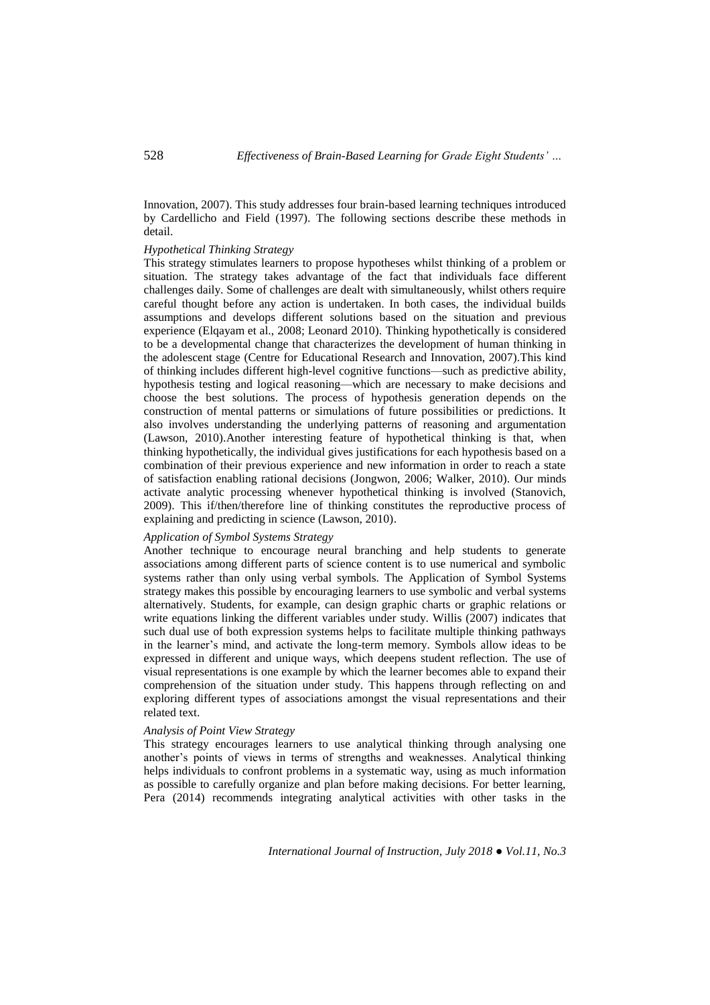Innovation, 2007). This study addresses four brain-based learning techniques introduced by Cardellicho and Field (1997). The following sections describe these methods in detail.

### *Hypothetical Thinking Strategy*

This strategy stimulates learners to propose hypotheses whilst thinking of a problem or situation. The strategy takes advantage of the fact that individuals face different challenges daily. Some of challenges are dealt with simultaneously, whilst others require careful thought before any action is undertaken. In both cases, the individual builds assumptions and develops different solutions based on the situation and previous experience (Elqayam et al., 2008; Leonard 2010). Thinking hypothetically is considered to be a developmental change that characterizes the development of human thinking in the adolescent stage (Centre for Educational Research and Innovation, 2007).This kind of thinking includes different high-level cognitive functions—such as predictive ability, hypothesis testing and logical reasoning—which are necessary to make decisions and choose the best solutions. The process of hypothesis generation depends on the construction of mental patterns or simulations of future possibilities or predictions. It also involves understanding the underlying patterns of reasoning and argumentation (Lawson, 2010).Another interesting feature of hypothetical thinking is that, when thinking hypothetically, the individual gives justifications for each hypothesis based on a combination of their previous experience and new information in order to reach a state of satisfaction enabling rational decisions (Jongwon, 2006; Walker, 2010). Our minds activate analytic processing whenever hypothetical thinking is involved (Stanovich, 2009). This if/then/therefore line of thinking constitutes the reproductive process of explaining and predicting in science (Lawson, 2010).

### *Application of Symbol Systems Strategy*

Another technique to encourage neural branching and help students to generate associations among different parts of science content is to use numerical and symbolic systems rather than only using verbal symbols. The Application of Symbol Systems strategy makes this possible by encouraging learners to use symbolic and verbal systems alternatively. Students, for example, can design graphic charts or graphic relations or write equations linking the different variables under study. Willis (2007) indicates that such dual use of both expression systems helps to facilitate multiple thinking pathways in the learner's mind, and activate the long-term memory. Symbols allow ideas to be expressed in different and unique ways, which deepens student reflection. The use of visual representations is one example by which the learner becomes able to expand their comprehension of the situation under study. This happens through reflecting on and exploring different types of associations amongst the visual representations and their related text.

# *Analysis of Point View Strategy*

This strategy encourages learners to use analytical thinking through analysing one another's points of views in terms of strengths and weaknesses. Analytical thinking helps individuals to confront problems in a systematic way, using as much information as possible to carefully organize and plan before making decisions. For better learning, Pera (2014) recommends integrating analytical activities with other tasks in the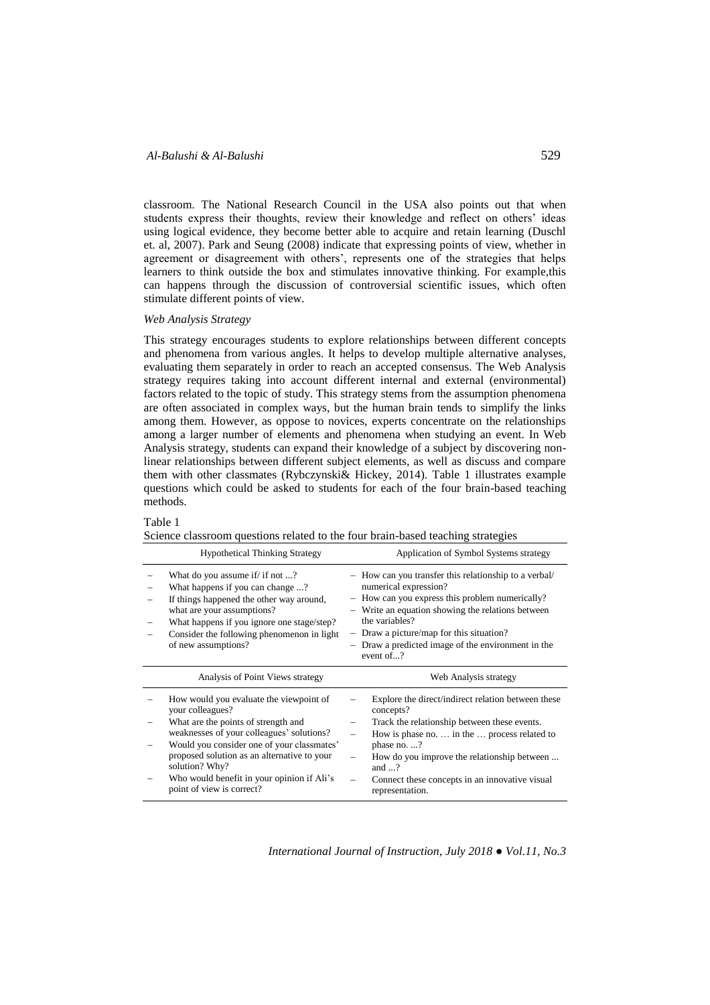classroom. The National Research Council in the USA also points out that when students express their thoughts, review their knowledge and reflect on others' ideas using logical evidence, they become better able to acquire and retain learning (Duschl et. al, 2007). Park and Seung (2008) indicate that expressing points of view, whether in agreement or disagreement with others', represents one of the strategies that helps learners to think outside the box and stimulates innovative thinking. For example,this can happens through the discussion of controversial scientific issues, which often stimulate different points of view.

# *Web Analysis Strategy*

This strategy encourages students to explore relationships between different concepts and phenomena from various angles. It helps to develop multiple alternative analyses, evaluating them separately in order to reach an accepted consensus. The Web Analysis strategy requires taking into account different internal and external (environmental) factors related to the topic of study. This strategy stems from the assumption phenomena are often associated in complex ways, but the human brain tends to simplify the links among them. However, as oppose to novices, experts concentrate on the relationships among a larger number of elements and phenomena when studying an event. In Web Analysis strategy, students can expand their knowledge of a subject by discovering nonlinear relationships between different subject elements, as well as discuss and compare them with other classmates (Rybczynski& Hickey, 2014). Table 1 illustrates example questions which could be asked to students for each of the four brain-based teaching methods.

| Science classibolii questions related to the four brain-based teaching strategies<br><b>Hypothetical Thinking Strategy</b>                                                                                                                                       | Application of Symbol Systems strategy                                                                                                                                                                                                                                                                              |
|------------------------------------------------------------------------------------------------------------------------------------------------------------------------------------------------------------------------------------------------------------------|---------------------------------------------------------------------------------------------------------------------------------------------------------------------------------------------------------------------------------------------------------------------------------------------------------------------|
| What do you assume if/ if not ?<br>What happens if you can change ?<br>If things happened the other way around,<br>what are your assumptions?<br>What happens if you ignore one stage/step?<br>Consider the following phenomenon in light<br>of new assumptions? | - How can you transfer this relationship to a verbal/<br>numerical expression?<br>- How can you express this problem numerically?<br>- Write an equation showing the relations between<br>the variables?<br>Draw a picture/map for this situation?<br>Draw a predicted image of the environment in the<br>event of? |
| Analysis of Point Views strategy                                                                                                                                                                                                                                 | Web Analysis strategy                                                                                                                                                                                                                                                                                               |
| How would you evaluate the viewpoint of<br>your colleagues?                                                                                                                                                                                                      | Explore the direct/indirect relation between these<br>concepts?                                                                                                                                                                                                                                                     |

#### Table 1

Science classroom questions related to the four brain-based teaching strategies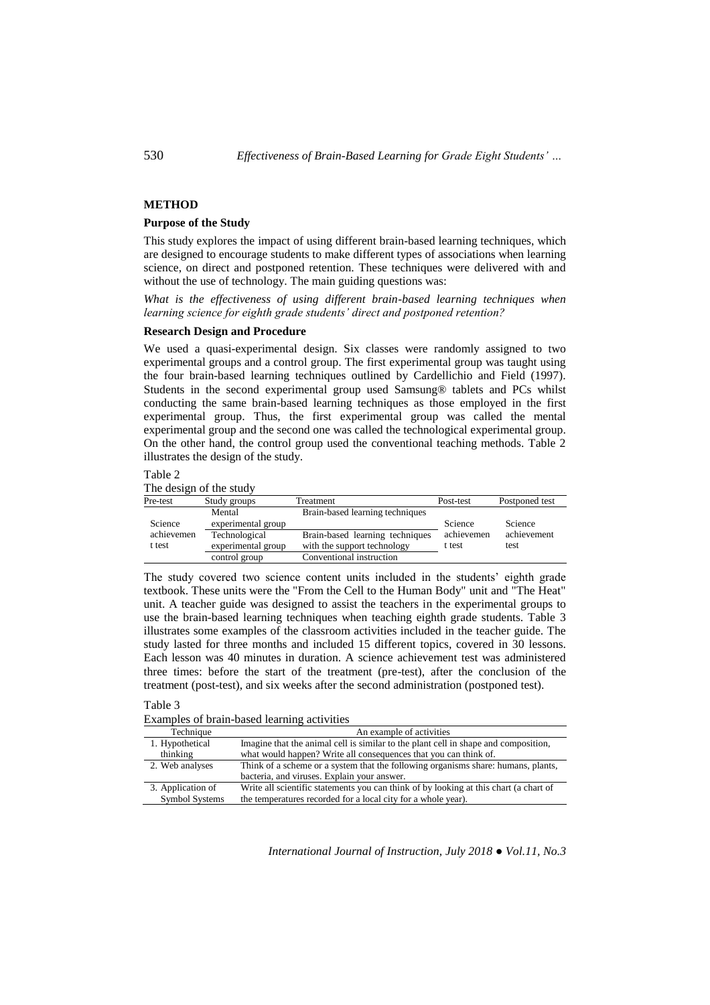# **METHOD**

## **Purpose of the Study**

This study explores the impact of using different brain-based learning techniques, which are designed to encourage students to make different types of associations when learning science, on direct and postponed retention. These techniques were delivered with and without the use of technology. The main guiding questions was:

*What is the effectiveness of using different brain-based learning techniques when learning science for eighth grade students' direct and postponed retention?*

### **Research Design and Procedure**

We used a quasi-experimental design. Six classes were randomly assigned to two experimental groups and a control group. The first experimental group was taught using the four brain-based learning techniques outlined by Cardellichio and Field (1997). Students in the second experimental group used Samsung® tablets and PCs whilst conducting the same brain-based learning techniques as those employed in the first experimental group. Thus, the first experimental group was called the mental experimental group and the second one was called the technological experimental group. On the other hand, the control group used the conventional teaching methods. Table 2 illustrates the design of the study.

## Table 2

### The design of the study

| The weblach of the beau |                    |                                 |            |                |  |
|-------------------------|--------------------|---------------------------------|------------|----------------|--|
| Pre-test                | Study groups       | Treatment                       | Post-test  | Postponed test |  |
|                         | Mental             | Brain-based learning techniques |            |                |  |
| Science                 | experimental group |                                 | Science    | Science        |  |
| achievemen              | Technological      | Brain-based learning techniques | achievemen | achievement    |  |
| t test                  | experimental group | with the support technology     | t test     | test           |  |
|                         | control group      | Conventional instruction        |            |                |  |

The study covered two science content units included in the students' eighth grade textbook. These units were the "From the Cell to the Human Body" unit and "The Heat" unit. A teacher guide was designed to assist the teachers in the experimental groups to use the brain-based learning techniques when teaching eighth grade students. Table 3 illustrates some examples of the classroom activities included in the teacher guide. The study lasted for three months and included 15 different topics, covered in 30 lessons. Each lesson was 40 minutes in duration. A science achievement test was administered three times: before the start of the treatment (pre-test), after the conclusion of the treatment (post-test), and six weeks after the second administration (postponed test).

#### Table 3

Examples of brain-based learning activities

| Technique             | An example of activities                                                              |
|-----------------------|---------------------------------------------------------------------------------------|
| 1. Hypothetical       | Imagine that the animal cell is similar to the plant cell in shape and composition,   |
| thinking              | what would happen? Write all consequences that you can think of.                      |
| 2. Web analyses       | Think of a scheme or a system that the following organisms share: humans, plants,     |
|                       | bacteria, and viruses. Explain your answer.                                           |
| 3. Application of     | Write all scientific statements you can think of by looking at this chart (a chart of |
| <b>Symbol Systems</b> | the temperatures recorded for a local city for a whole year).                         |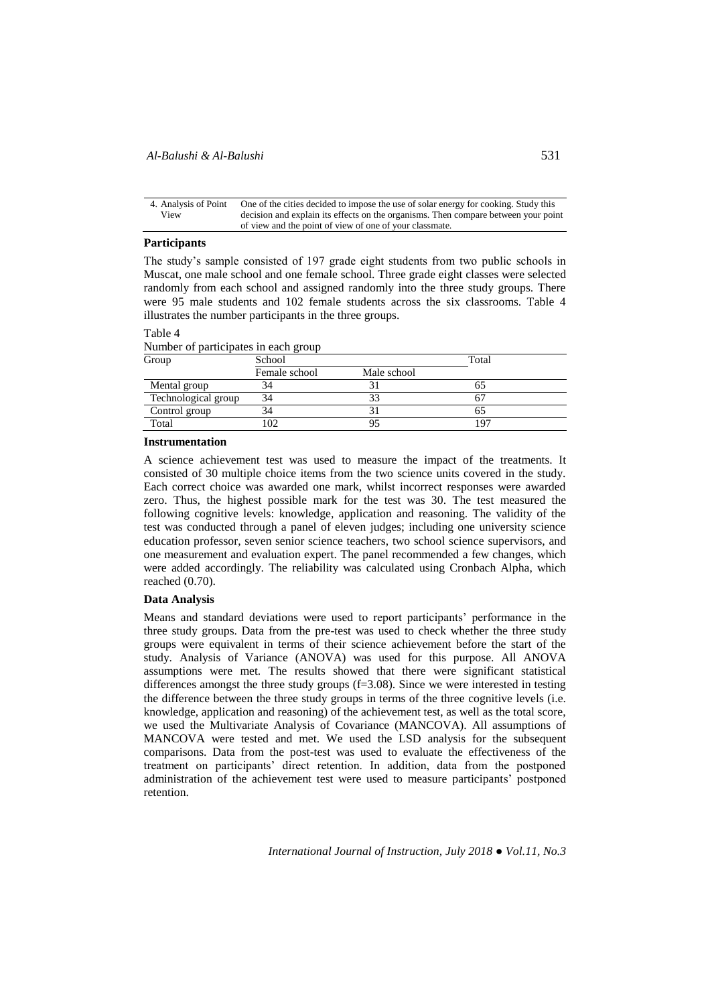4. Analysis of Point View One of the cities decided to impose the use of solar energy for cooking. Study this decision and explain its effects on the organisms. Then compare between your point of view and the point of view of one of your classmate.

### **Participants**

The study's sample consisted of 197 grade eight students from two public schools in Muscat, one male school and one female school. Three grade eight classes were selected randomly from each school and assigned randomly into the three study groups. There were 95 male students and 102 female students across the six classrooms. Table 4 illustrates the number participants in the three groups.

#### Table 4

Number of participates in each group

| Group               | School        | Total       |     |  |
|---------------------|---------------|-------------|-----|--|
|                     | Female school | Male school |     |  |
| Mental group        |               |             |     |  |
| Technological group | 34            |             |     |  |
| Control group       |               |             |     |  |
| Total               |               |             | ۱Q. |  |

### **Instrumentation**

A science achievement test was used to measure the impact of the treatments. It consisted of 30 multiple choice items from the two science units covered in the study. Each correct choice was awarded one mark, whilst incorrect responses were awarded zero. Thus, the highest possible mark for the test was 30. The test measured the following cognitive levels: knowledge, application and reasoning. The validity of the test was conducted through a panel of eleven judges; including one university science education professor, seven senior science teachers, two school science supervisors, and one measurement and evaluation expert. The panel recommended a few changes, which were added accordingly. The reliability was calculated using Cronbach Alpha, which reached (0.70).

### **Data Analysis**

Means and standard deviations were used to report participants' performance in the three study groups. Data from the pre-test was used to check whether the three study groups were equivalent in terms of their science achievement before the start of the study. Analysis of Variance (ANOVA) was used for this purpose. All ANOVA assumptions were met. The results showed that there were significant statistical differences amongst the three study groups (f=3.08). Since we were interested in testing the difference between the three study groups in terms of the three cognitive levels (i.e. knowledge, application and reasoning) of the achievement test, as well as the total score, we used the Multivariate Analysis of Covariance (MANCOVA). All assumptions of MANCOVA were tested and met. We used the LSD analysis for the subsequent comparisons. Data from the post-test was used to evaluate the effectiveness of the treatment on participants' direct retention. In addition, data from the postponed administration of the achievement test were used to measure participants' postponed retention.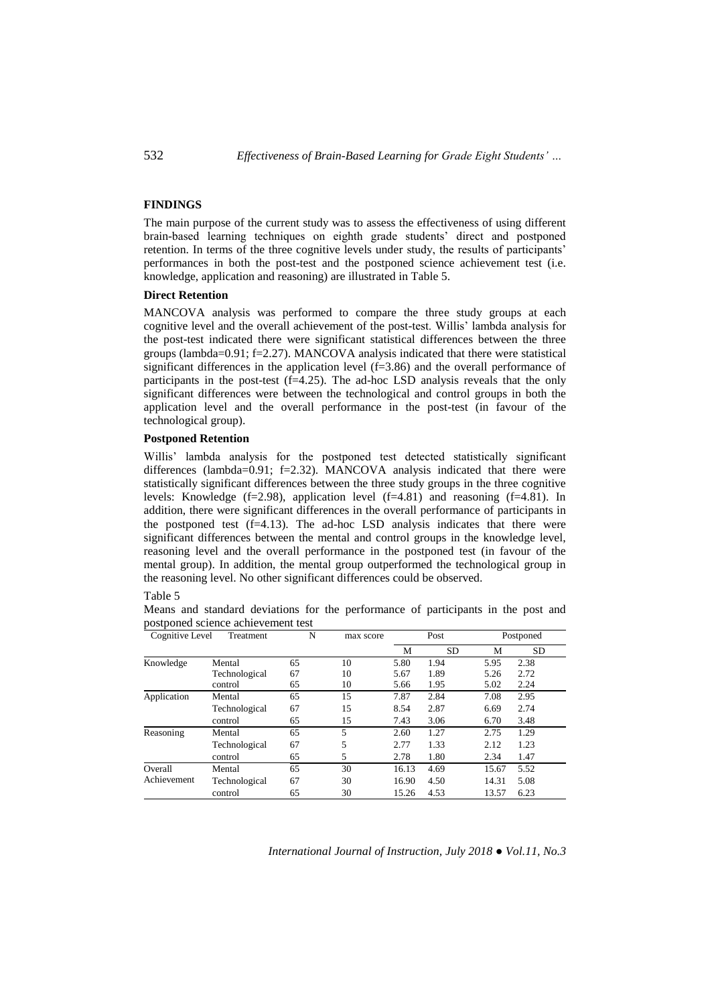# **FINDINGS**

The main purpose of the current study was to assess the effectiveness of using different brain-based learning techniques on eighth grade students' direct and postponed retention. In terms of the three cognitive levels under study, the results of participants' performances in both the post-test and the postponed science achievement test (i.e. knowledge, application and reasoning) are illustrated in Table 5.

# **Direct Retention**

MANCOVA analysis was performed to compare the three study groups at each cognitive level and the overall achievement of the post-test. Willis' lambda analysis for the post-test indicated there were significant statistical differences between the three groups (lambda=0.91; f=2.27). MANCOVA analysis indicated that there were statistical significant differences in the application level (f=3.86) and the overall performance of participants in the post-test  $(f=4.25)$ . The ad-hoc LSD analysis reveals that the only significant differences were between the technological and control groups in both the application level and the overall performance in the post-test (in favour of the technological group).

# **Postponed Retention**

Willis' lambda analysis for the postponed test detected statistically significant differences (lambda=0.91; f=2.32). MANCOVA analysis indicated that there were statistically significant differences between the three study groups in the three cognitive levels: Knowledge (f=2.98), application level (f=4.81) and reasoning (f=4.81). In addition, there were significant differences in the overall performance of participants in the postponed test  $(f=4.13)$ . The ad-hoc LSD analysis indicates that there were significant differences between the mental and control groups in the knowledge level, reasoning level and the overall performance in the postponed test (in favour of the mental group). In addition, the mental group outperformed the technological group in the reasoning level. No other significant differences could be observed.

## Table 5

Means and standard deviations for the performance of participants in the post and postponed science achievement test

| Cognitive Level | Treatment     | N  | max score | Post  |      |       | Postponed |  |
|-----------------|---------------|----|-----------|-------|------|-------|-----------|--|
|                 |               |    |           | M     | SD   | М     | <b>SD</b> |  |
| Knowledge       | Mental        | 65 | 10        | 5.80  | 1.94 | 5.95  | 2.38      |  |
|                 | Technological | 67 | 10        | 5.67  | 1.89 | 5.26  | 2.72      |  |
|                 | control       | 65 | 10        | 5.66  | 1.95 | 5.02  | 2.24      |  |
| Application     | Mental        | 65 | 15        | 7.87  | 2.84 | 7.08  | 2.95      |  |
|                 | Technological | 67 | 15        | 8.54  | 2.87 | 6.69  | 2.74      |  |
|                 | control       | 65 | 15        | 7.43  | 3.06 | 6.70  | 3.48      |  |
| Reasoning       | Mental        | 65 | 5         | 2.60  | 1.27 | 2.75  | 1.29      |  |
|                 | Technological | 67 | 5         | 2.77  | 1.33 | 2.12  | 1.23      |  |
|                 | control       | 65 | 5         | 2.78  | 1.80 | 2.34  | 1.47      |  |
| Overall         | Mental        | 65 | 30        | 16.13 | 4.69 | 15.67 | 5.52      |  |
| Achievement     | Technological | 67 | 30        | 16.90 | 4.50 | 14.31 | 5.08      |  |
|                 | control       | 65 | 30        | 15.26 | 4.53 | 13.57 | 6.23      |  |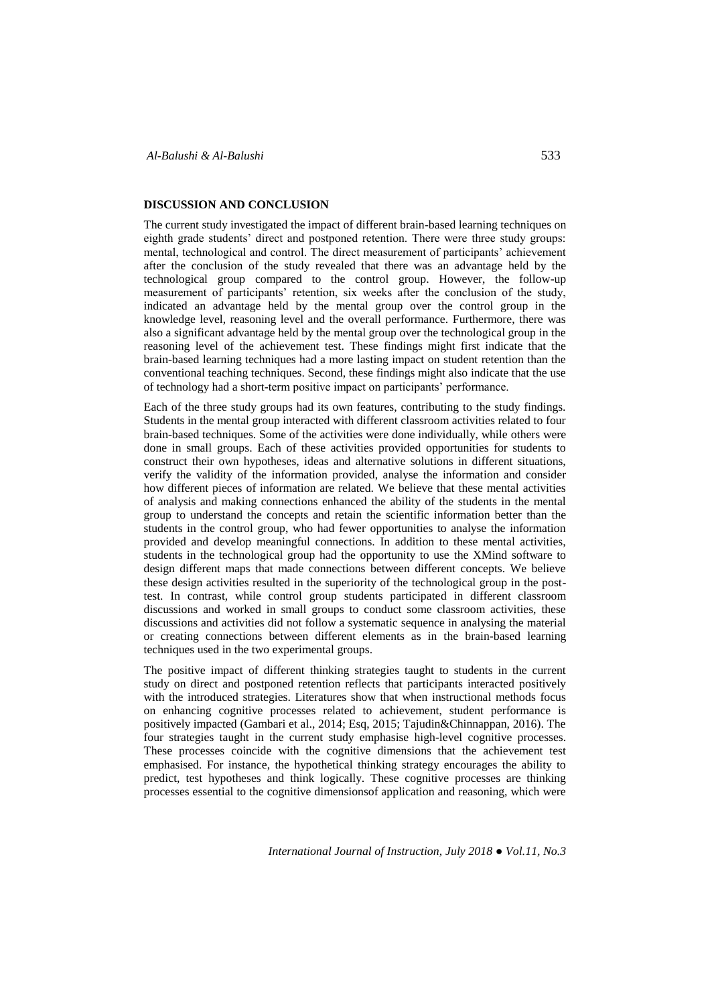### **DISCUSSION AND CONCLUSION**

The current study investigated the impact of different brain-based learning techniques on eighth grade students' direct and postponed retention. There were three study groups: mental, technological and control. The direct measurement of participants' achievement after the conclusion of the study revealed that there was an advantage held by the technological group compared to the control group. However, the follow-up measurement of participants' retention, six weeks after the conclusion of the study, indicated an advantage held by the mental group over the control group in the knowledge level, reasoning level and the overall performance. Furthermore, there was also a significant advantage held by the mental group over the technological group in the reasoning level of the achievement test. These findings might first indicate that the brain-based learning techniques had a more lasting impact on student retention than the conventional teaching techniques. Second, these findings might also indicate that the use of technology had a short-term positive impact on participants' performance.

Each of the three study groups had its own features, contributing to the study findings. Students in the mental group interacted with different classroom activities related to four brain-based techniques. Some of the activities were done individually, while others were done in small groups. Each of these activities provided opportunities for students to construct their own hypotheses, ideas and alternative solutions in different situations, verify the validity of the information provided, analyse the information and consider how different pieces of information are related. We believe that these mental activities of analysis and making connections enhanced the ability of the students in the mental group to understand the concepts and retain the scientific information better than the students in the control group, who had fewer opportunities to analyse the information provided and develop meaningful connections. In addition to these mental activities, students in the technological group had the opportunity to use the XMind software to design different maps that made connections between different concepts. We believe these design activities resulted in the superiority of the technological group in the posttest. In contrast, while control group students participated in different classroom discussions and worked in small groups to conduct some classroom activities, these discussions and activities did not follow a systematic sequence in analysing the material or creating connections between different elements as in the brain-based learning techniques used in the two experimental groups.

The positive impact of different thinking strategies taught to students in the current study on direct and postponed retention reflects that participants interacted positively with the introduced strategies. Literatures show that when instructional methods focus on enhancing cognitive processes related to achievement, student performance is positively impacted (Gambari et al., 2014; Esq, 2015; Tajudin&Chinnappan, 2016). The four strategies taught in the current study emphasise high-level cognitive processes. These processes coincide with the cognitive dimensions that the achievement test emphasised. For instance, the hypothetical thinking strategy encourages the ability to predict, test hypotheses and think logically. These cognitive processes are thinking processes essential to the cognitive dimensionsof application and reasoning, which were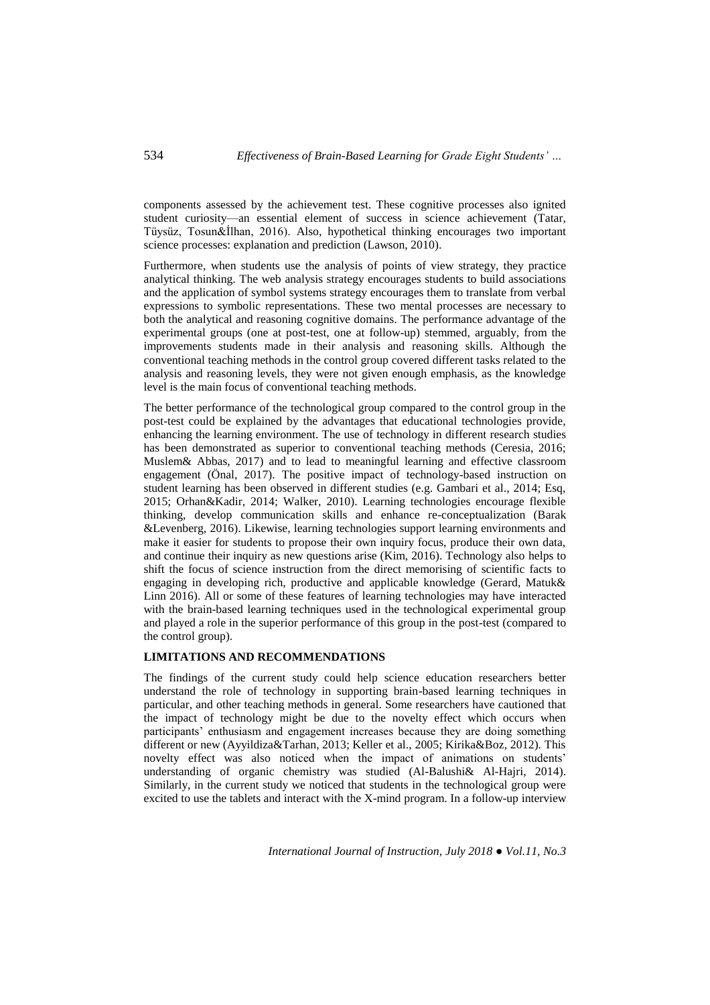components assessed by the achievement test. These cognitive processes also ignited student curiosity—an essential element of success in science achievement (Tatar, Tüysüz, Tosun&İlhan, 2016). Also, hypothetical thinking encourages two important science processes: explanation and prediction (Lawson, 2010).

Furthermore, when students use the analysis of points of view strategy, they practice analytical thinking. The web analysis strategy encourages students to build associations and the application of symbol systems strategy encourages them to translate from verbal expressions to symbolic representations. These two mental processes are necessary to both the analytical and reasoning cognitive domains. The performance advantage of the experimental groups (one at post-test, one at follow-up) stemmed, arguably, from the improvements students made in their analysis and reasoning skills. Although the conventional teaching methods in the control group covered different tasks related to the analysis and reasoning levels, they were not given enough emphasis, as the knowledge level is the main focus of conventional teaching methods.

The better performance of the technological group compared to the control group in the post-test could be explained by the advantages that educational technologies provide, enhancing the learning environment. The use of technology in different research studies has been demonstrated as superior to conventional teaching methods (Ceresia, 2016; Muslem& Abbas, 2017) and to lead to meaningful learning and effective classroom engagement (Önal, 2017). The positive impact of technology-based instruction on student learning has been observed in different studies (e.g. Gambari et al., 2014; Esq, 2015; Orhan&Kadir, 2014; Walker, 2010). Learning technologies encourage flexible thinking, develop communication skills and enhance re-conceptualization (Barak &Levenberg, 2016). Likewise, learning technologies support learning environments and make it easier for students to propose their own inquiry focus, produce their own data, and continue their inquiry as new questions arise (Kim, 2016). Technology also helps to shift the focus of science instruction from the direct memorising of scientific facts to engaging in developing rich, productive and applicable knowledge (Gerard, Matuk& Linn 2016). All or some of these features of learning technologies may have interacted with the brain-based learning techniques used in the technological experimental group and played a role in the superior performance of this group in the post-test (compared to the control group).

### **LIMITATIONS AND RECOMMENDATIONS**

The findings of the current study could help science education researchers better understand the role of technology in supporting brain-based learning techniques in particular, and other teaching methods in general. Some researchers have cautioned that the impact of technology might be due to the novelty effect which occurs when participants' enthusiasm and engagement increases because they are doing something different or new (Ayyildiza&Tarhan, 2013; Keller et al., 2005; Kirika&Boz, 2012). This novelty effect was also noticed when the impact of animations on students' understanding of organic chemistry was studied (Al-Balushi& Al-Hajri, 2014). Similarly, in the current study we noticed that students in the technological group were excited to use the tablets and interact with the X-mind program. In a follow-up interview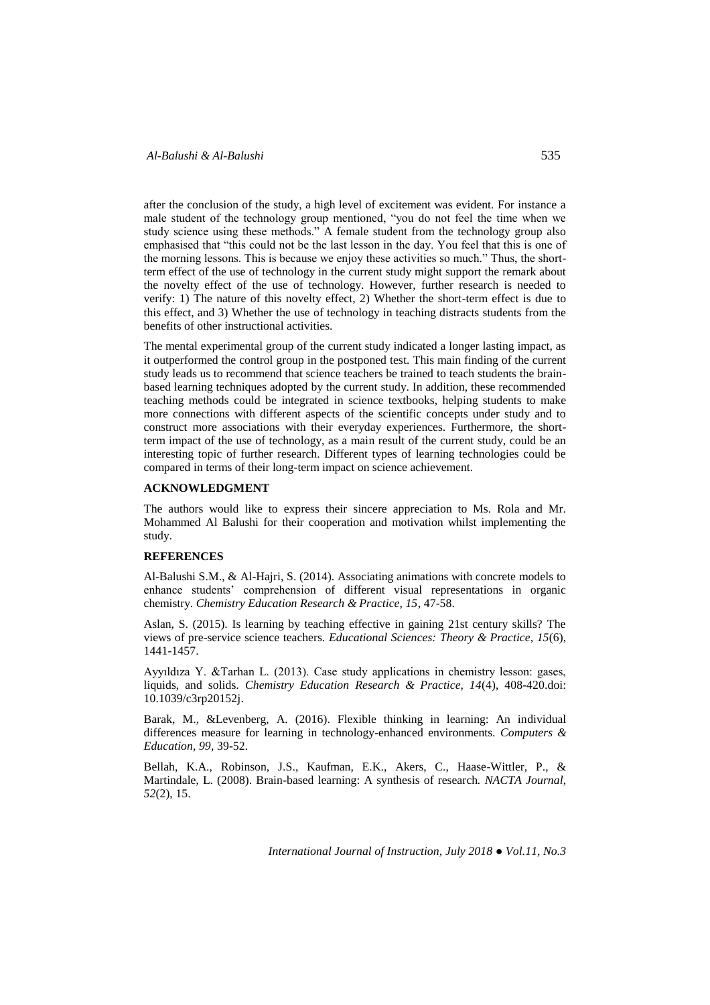after the conclusion of the study, a high level of excitement was evident. For instance a male student of the technology group mentioned, "you do not feel the time when we study science using these methods." A female student from the technology group also emphasised that "this could not be the last lesson in the day. You feel that this is one of the morning lessons. This is because we enjoy these activities so much." Thus, the shortterm effect of the use of technology in the current study might support the remark about the novelty effect of the use of technology. However, further research is needed to verify: 1) The nature of this novelty effect, 2) Whether the short-term effect is due to this effect, and 3) Whether the use of technology in teaching distracts students from the benefits of other instructional activities.

The mental experimental group of the current study indicated a longer lasting impact, as it outperformed the control group in the postponed test. This main finding of the current study leads us to recommend that science teachers be trained to teach students the brainbased learning techniques adopted by the current study. In addition, these recommended teaching methods could be integrated in science textbooks, helping students to make more connections with different aspects of the scientific concepts under study and to construct more associations with their everyday experiences. Furthermore, the shortterm impact of the use of technology, as a main result of the current study, could be an interesting topic of further research. Different types of learning technologies could be compared in terms of their long-term impact on science achievement.

#### **ACKNOWLEDGMENT**

The authors would like to express their sincere appreciation to Ms. Rola and Mr. Mohammed Al Balushi for their cooperation and motivation whilst implementing the study.

### **REFERENCES**

Al-Balushi S.M., & Al-Hajri, S. (2014). Associating animations with concrete models to enhance students' comprehension of different visual representations in organic chemistry. *Chemistry Education Research & Practice, 15*, 47-58.

Aslan, S. (2015). Is learning by teaching effective in gaining 21st century skills? The views of pre-service science teachers. *Educational Sciences: Theory & Practice, 15*(6), 1441-1457.

Ayyıldıza Y. &Tarhan L. (2013). Case study applications in chemistry lesson: gases, liquids, and solids. *Chemistry Education Research & Practice, 14*(4), 408-420.doi: 10.1039/c3rp20152j.

Barak, M., &Levenberg, A. (2016). Flexible thinking in learning: An individual differences measure for learning in technology-enhanced environments. *Computers & Education, 99*, 39-52.

Bellah, K.A., Robinson, J.S., Kaufman, E.K., Akers, C., Haase-Wittler, P., & Martindale, L. (2008). Brain-based learning: A synthesis of research*. NACTA Journal*, *52*(2), 15.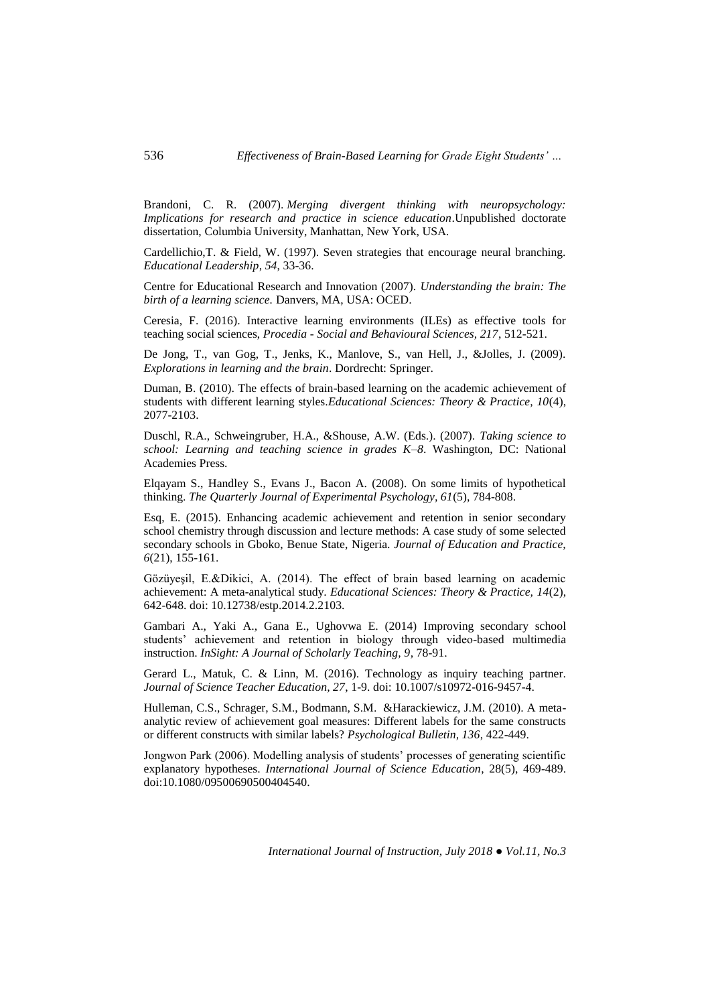Brandoni, C. R. (2007). *Merging divergent thinking with neuropsychology: Implications for research and practice in science education*.Unpublished doctorate dissertation, Columbia University, Manhattan, New York, USA.

Cardellichio,T. & Field, W. (1997). Seven strategies that encourage neural branching. *Educational Leadership*, *54*, 33-36.

Centre for Educational Research and Innovation (2007). *Understanding the brain: The birth of a learning science.* Danvers, MA, USA: OCED.

Ceresia, F. (2016). Interactive learning environments (ILEs) as effective tools for teaching social sciences, *Procedia - Social and Behavioural Sciences, 217*, 512-521.

De Jong, T., van Gog, T., Jenks, K., Manlove, S., van Hell, J., &Jolles, J. (2009). *Explorations in learning and the brain*. Dordrecht: Springer.

Duman, B. (2010). The effects of brain-based learning on the academic achievement of students with different learning styles.*Educational Sciences: Theory & Practice, 10*(4), 2077-2103.

Duschl, R.A., Schweingruber, H.A., &Shouse, A.W. (Eds.). (2007). *Taking science to school: Learning and teaching science in grades K–8*. Washington, DC: National Academies Press.

Elqayam S., Handley S., Evans J., Bacon A. (2008). On some limits of hypothetical thinking. *The Quarterly Journal of Experimental Psychology, 61*(5), 784-808.

Esq, E. (2015). Enhancing academic achievement and retention in senior secondary school chemistry through discussion and lecture methods: A case study of some selected secondary schools in Gboko, Benue State, Nigeria. *Journal of Education and Practice, 6*(21), 155-161.

Gözüyeşil, E.&Dikici, A. (2014). The effect of brain based learning on academic achievement: A meta-analytical study. *Educational Sciences: Theory & Practice, 14*(2), 642-648. doi: 10.12738/estp.2014.2.2103.

Gambari A., Yaki A., Gana E., Ughovwa E. (2014) Improving secondary school students' achievement and retention in biology through video-based multimedia instruction. *InSight: A Journal of Scholarly Teaching, 9*, 78-91.

Gerard L., Matuk, C. & Linn, M. (2016). Technology as inquiry teaching partner. *Journal of Science Teacher Education, 27*, 1-9. doi: 10.1007/s10972-016-9457-4.

Hulleman, C.S., Schrager, S.M., Bodmann, S.M. &Harackiewicz, J.M. (2010). A metaanalytic review of achievement goal measures: Different labels for the same constructs or different constructs with similar labels? *Psychological Bulletin, 136*, 422-449.

Jongwon Park (2006). Modelling analysis of students' processes of generating scientific explanatory hypotheses. *International Journal of Science Education*, 28(5), 469-489. doi:10.1080/09500690500404540.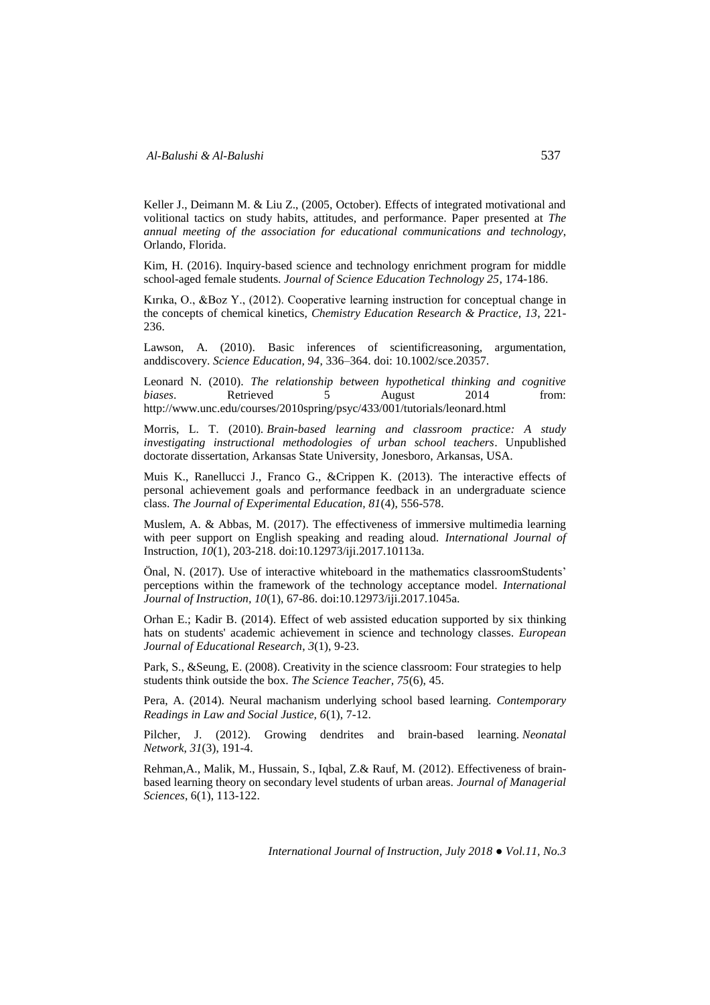Keller J., Deimann M. & Liu Z., (2005, October). Effects of integrated motivational and volitional tactics on study habits, attitudes, and performance. Paper presented at *The annual meeting of the association for educational communications and technology*, Orlando, Florida.

Kim, H. (2016). Inquiry-based science and technology enrichment program for middle school-aged female students. *Journal of Science Education Technology 25*, 174-186.

Kırıka, O., &Boz Y., (2012). Cooperative learning instruction for conceptual change in the concepts of chemical kinetics, *Chemistry Education Research & Practice, 13*, 221- 236.

Lawson, A. (2010). Basic inferences of scientificreasoning, argumentation, anddiscovery. *Science Education, 94*, 336–364. doi: 10.1002/sce.20357.

Leonard N. (2010). *The relationship between hypothetical thinking and cognitive biases*. Retrieved 5 August 2014 from: http://www.unc.edu/courses/2010spring/psyc/433/001/tutorials/leonard.html

Morris, L. T. (2010). *Brain-based learning and classroom practice: A study investigating instructional methodologies of urban school teachers*. Unpublished doctorate dissertation, Arkansas State University, [Jonesboro, Arkansas,](https://en.wikipedia.org/wiki/Jonesboro,_Arkansas) USA.

Muis K., Ranellucci J., Franco G., &Crippen K. (2013). The interactive effects of personal achievement goals and performance feedback in an undergraduate science class. *The Journal of Experimental Education, 81*(4), 556-578.

Muslem, A. & Abbas, M. (2017). The effectiveness of immersive multimedia learning with peer support on English speaking and reading aloud. *International Journal of*  Instruction, *10*(1), 203-218. doi:10.12973/iji.2017.10113a.

Önal, N. (2017). Use of interactive whiteboard in the mathematics classroomStudents' perceptions within the framework of the technology acceptance model. *International Journal of Instruction, 10*(1), 67-86. doi:10.12973/iji.2017.1045a.

Orhan E.; Kadir B. (2014). Effect of web assisted education supported by six thinking hats on students' academic achievement in science and technology classes. *European Journal of Educational Research*, *3*(1), 9-23.

Park, S., &Seung, E. (2008). Creativity in the science classroom: Four strategies to help students think outside the box. *The Science Teacher, 75*(6), 45.

Pera, A. (2014). Neural machanism underlying school based learning. *Contemporary Readings in Law and Social Justice, 6*(1), 7-12.

Pilcher, J. (2012). Growing dendrites and brain-based learning. *Neonatal Network*, *31*(3), 191-4.

Rehman,A., Malik, M., Hussain, S., Iqbal, Z.& Rauf, M. (2012). Effectiveness of brainbased learning theory on secondary level students of urban areas. *Journal of Managerial Sciences*, 6(1), 113-122.